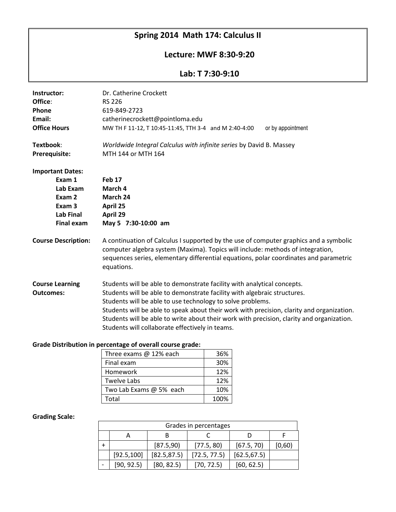# **Spring 2014 Math 174: Calculus II**

## **Lecture: MWF 8:30-9:20**

### **Lab: T 7:30-9:10**

| Dr. Catherine Crockett                                                                                                                                                                                                                                                         |
|--------------------------------------------------------------------------------------------------------------------------------------------------------------------------------------------------------------------------------------------------------------------------------|
| <b>RS 226</b>                                                                                                                                                                                                                                                                  |
| 619-849-2723                                                                                                                                                                                                                                                                   |
| catherinecrockett@pointloma.edu                                                                                                                                                                                                                                                |
| MW TH F 11-12, T 10:45-11:45, TTH 3-4 and M 2:40-4:00<br>or by appointment                                                                                                                                                                                                     |
| Worldwide Integral Calculus with infinite series by David B. Massey                                                                                                                                                                                                            |
| MTH 144 or MTH 164                                                                                                                                                                                                                                                             |
|                                                                                                                                                                                                                                                                                |
| <b>Feb 17</b>                                                                                                                                                                                                                                                                  |
| March 4<br>March 24                                                                                                                                                                                                                                                            |
| April 25                                                                                                                                                                                                                                                                       |
| April 29                                                                                                                                                                                                                                                                       |
| May 5 7:30-10:00 am                                                                                                                                                                                                                                                            |
|                                                                                                                                                                                                                                                                                |
| A continuation of Calculus I supported by the use of computer graphics and a symbolic<br>computer algebra system (Maxima). Topics will include: methods of integration,<br>sequences series, elementary differential equations, polar coordinates and parametric<br>equations. |
| Students will be able to demonstrate facility with analytical concepts.                                                                                                                                                                                                        |
|                                                                                                                                                                                                                                                                                |
| Students will be able to demonstrate facility with algebraic structures.                                                                                                                                                                                                       |
| Students will be able to use technology to solve problems.                                                                                                                                                                                                                     |
| Students will be able to speak about their work with precision, clarity and organization.<br>Students will be able to write about their work with precision, clarity and organization.                                                                                         |
|                                                                                                                                                                                                                                                                                |

#### **Grade Distribution in percentage of overall course grade:**

| Three exams @ 12% each  | 36%  |
|-------------------------|------|
| Final exam              | 30%  |
| Homework                | 12%  |
| <b>Twelve Labs</b>      | 12%  |
| Two Lab Exams @ 5% each | 10%  |
| Total                   | 100% |

#### **Grading Scale:**

| Grades in percentages |             |              |              |              |        |
|-----------------------|-------------|--------------|--------------|--------------|--------|
|                       |             |              |              |              |        |
|                       |             | [87.5,90]    | [77.5, 80]   | [67.5, 70]   | [0,60) |
|                       | [92.5, 100] | [82.5, 87.5] | [72.5, 77.5] | [62.5, 67.5] |        |
|                       | [90, 92.5]  | [80, 82.5]   | [70, 72.5]   | [60, 62.5]   |        |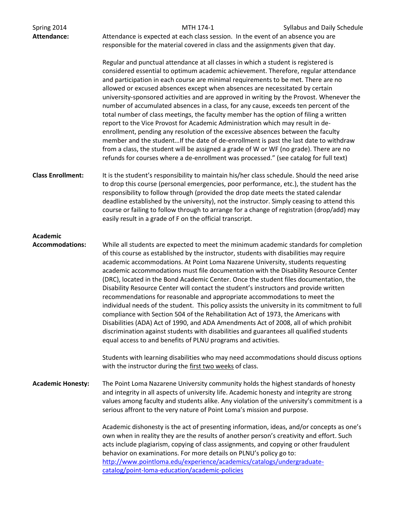| Spring 2014<br><b>Attendance:</b>         | Attendance is expected at each class session. In the event of an absence you are<br>responsible for the material covered in class and the assignments given that day.                                                                                                                                                                                                                                                                                                                                                                                                                                                                                                                                                                                                                                                                                                                                                                                                                                                                                                                                                                                                                                                      | MTH 174-1 | Syllabus and Daily Schedule |
|-------------------------------------------|----------------------------------------------------------------------------------------------------------------------------------------------------------------------------------------------------------------------------------------------------------------------------------------------------------------------------------------------------------------------------------------------------------------------------------------------------------------------------------------------------------------------------------------------------------------------------------------------------------------------------------------------------------------------------------------------------------------------------------------------------------------------------------------------------------------------------------------------------------------------------------------------------------------------------------------------------------------------------------------------------------------------------------------------------------------------------------------------------------------------------------------------------------------------------------------------------------------------------|-----------|-----------------------------|
|                                           | Regular and punctual attendance at all classes in which a student is registered is<br>considered essential to optimum academic achievement. Therefore, regular attendance<br>and participation in each course are minimal requirements to be met. There are no<br>allowed or excused absences except when absences are necessitated by certain<br>university-sponsored activities and are approved in writing by the Provost. Whenever the<br>number of accumulated absences in a class, for any cause, exceeds ten percent of the<br>total number of class meetings, the faculty member has the option of filing a written<br>report to the Vice Provost for Academic Administration which may result in de-<br>enrollment, pending any resolution of the excessive absences between the faculty<br>member and the studentIf the date of de-enrollment is past the last date to withdraw<br>from a class, the student will be assigned a grade of W or WF (no grade). There are no<br>refunds for courses where a de-enrollment was processed." (see catalog for full text)                                                                                                                                               |           |                             |
| <b>Class Enrollment:</b>                  | It is the student's responsibility to maintain his/her class schedule. Should the need arise<br>to drop this course (personal emergencies, poor performance, etc.), the student has the<br>responsibility to follow through (provided the drop date meets the stated calendar<br>deadline established by the university), not the instructor. Simply ceasing to attend this<br>course or failing to follow through to arrange for a change of registration (drop/add) may<br>easily result in a grade of F on the official transcript.                                                                                                                                                                                                                                                                                                                                                                                                                                                                                                                                                                                                                                                                                     |           |                             |
| <b>Academic</b><br><b>Accommodations:</b> | While all students are expected to meet the minimum academic standards for completion<br>of this course as established by the instructor, students with disabilities may require<br>academic accommodations. At Point Loma Nazarene University, students requesting<br>academic accommodations must file documentation with the Disability Resource Center<br>(DRC), located in the Bond Academic Center. Once the student files documentation, the<br>Disability Resource Center will contact the student's instructors and provide written<br>recommendations for reasonable and appropriate accommodations to meet the<br>individual needs of the student. This policy assists the university in its commitment to full<br>compliance with Section 504 of the Rehabilitation Act of 1973, the Americans with<br>Disabilities (ADA) Act of 1990, and ADA Amendments Act of 2008, all of which prohibit<br>discrimination against students with disabilities and guarantees all qualified students<br>equal access to and benefits of PLNU programs and activities.<br>Students with learning disabilities who may need accommodations should discuss options<br>with the instructor during the first two weeks of class. |           |                             |
| <b>Academic Honesty:</b>                  | The Point Loma Nazarene University community holds the highest standards of honesty<br>and integrity in all aspects of university life. Academic honesty and integrity are strong<br>values among faculty and students alike. Any violation of the university's commitment is a<br>serious affront to the very nature of Point Loma's mission and purpose.<br>Academic dishonesty is the act of presenting information, ideas, and/or concepts as one's<br>own when in reality they are the results of another person's creativity and effort. Such<br>acts include plagiarism, copying of class assignments, and copying or other fraudulent<br>behavior on examinations. For more details on PLNU's policy go to:<br>http://www.pointloma.edu/experience/academics/catalogs/undergraduate-<br>catalog/point-loma-education/academic-policies                                                                                                                                                                                                                                                                                                                                                                             |           |                             |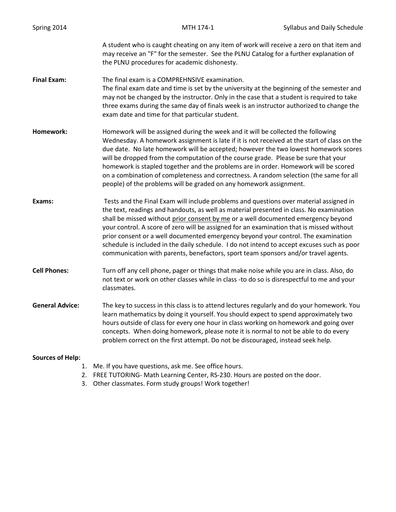| Spring 2014             | MTH 174-1                                                                                                                                                                                                                                                                                                                                                                                                                                                                                                                                                                                                                                   | Syllabus and Daily Schedule |
|-------------------------|---------------------------------------------------------------------------------------------------------------------------------------------------------------------------------------------------------------------------------------------------------------------------------------------------------------------------------------------------------------------------------------------------------------------------------------------------------------------------------------------------------------------------------------------------------------------------------------------------------------------------------------------|-----------------------------|
|                         | A student who is caught cheating on any item of work will receive a zero on that item and<br>may receive an "F" for the semester. See the PLNU Catalog for a further explanation of<br>the PLNU procedures for academic dishonesty.                                                                                                                                                                                                                                                                                                                                                                                                         |                             |
| <b>Final Exam:</b>      | The final exam is a COMPREHNSIVE examination.<br>The final exam date and time is set by the university at the beginning of the semester and<br>may not be changed by the instructor. Only in the case that a student is required to take<br>three exams during the same day of finals week is an instructor authorized to change the<br>exam date and time for that particular student.                                                                                                                                                                                                                                                     |                             |
| Homework:               | Homework will be assigned during the week and it will be collected the following<br>Wednesday. A homework assignment is late if it is not received at the start of class on the<br>due date. No late homework will be accepted; however the two lowest homework scores<br>will be dropped from the computation of the course grade. Please be sure that your<br>homework is stapled together and the problems are in order. Homework will be scored<br>on a combination of completeness and correctness. A random selection (the same for all<br>people) of the problems will be graded on any homework assignment.                         |                             |
| Exams:                  | Tests and the Final Exam will include problems and questions over material assigned in<br>the text, readings and handouts, as well as material presented in class. No examination<br>shall be missed without prior consent by me or a well documented emergency beyond<br>your control. A score of zero will be assigned for an examination that is missed without<br>prior consent or a well documented emergency beyond your control. The examination<br>schedule is included in the daily schedule. I do not intend to accept excuses such as poor<br>communication with parents, benefactors, sport team sponsors and/or travel agents. |                             |
| <b>Cell Phones:</b>     | Turn off any cell phone, pager or things that make noise while you are in class. Also, do<br>not text or work on other classes while in class -to do so is disrespectful to me and your<br>classmates.                                                                                                                                                                                                                                                                                                                                                                                                                                      |                             |
| <b>General Advice:</b>  | The key to success in this class is to attend lectures regularly and do your homework. You<br>learn mathematics by doing it yourself. You should expect to spend approximately two<br>hours outside of class for every one hour in class working on homework and going over<br>concepts. When doing homework, please note it is normal to not be able to do every<br>problem correct on the first attempt. Do not be discouraged, instead seek help.                                                                                                                                                                                        |                             |
| <b>Sources of Help:</b> |                                                                                                                                                                                                                                                                                                                                                                                                                                                                                                                                                                                                                                             |                             |

- 1. Me. If you have questions, ask me. See office hours.
- 2. FREE TUTORING- Math Learning Center, RS-230. Hours are posted on the door.
- 3. Other classmates. Form study groups! Work together!